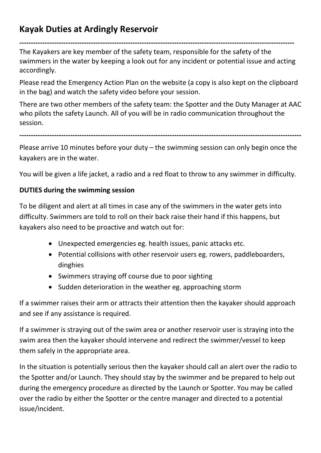## Kayak Duties at Ardingly Reservoir

----------------------------------------------------------------------------------------------------------------------- The Kayakers are key member of the safety team, responsible for the safety of the swimmers in the water by keeping a look out for any incident or potential issue and acting accordingly.

Please read the Emergency Action Plan on the website (a copy is also kept on the clipboard in the bag) and watch the safety video before your session.

There are two other members of the safety team: the Spotter and the Duty Manager at AAC who pilots the safety Launch. All of you will be in radio communication throughout the session.

--------------------------------------------------------------------------------------------------------------------------

Please arrive 10 minutes before your duty – the swimming session can only begin once the kayakers are in the water.

You will be given a life jacket, a radio and a red float to throw to any swimmer in difficulty.

## DUTIES during the swimming session

To be diligent and alert at all times in case any of the swimmers in the water gets into difficulty. Swimmers are told to roll on their back raise their hand if this happens, but kayakers also need to be proactive and watch out for:

- Unexpected emergencies eg. health issues, panic attacks etc.
- Potential collisions with other reservoir users eg. rowers, paddleboarders, dinghies
- Swimmers straying off course due to poor sighting
- Sudden deterioration in the weather eg. approaching storm

If a swimmer raises their arm or attracts their attention then the kayaker should approach and see if any assistance is required.

If a swimmer is straying out of the swim area or another reservoir user is straying into the swim area then the kayaker should intervene and redirect the swimmer/vessel to keep them safely in the appropriate area.

In the situation is potentially serious then the kayaker should call an alert over the radio to the Spotter and/or Launch. They should stay by the swimmer and be prepared to help out during the emergency procedure as directed by the Launch or Spotter. You may be called over the radio by either the Spotter or the centre manager and directed to a potential issue/incident.